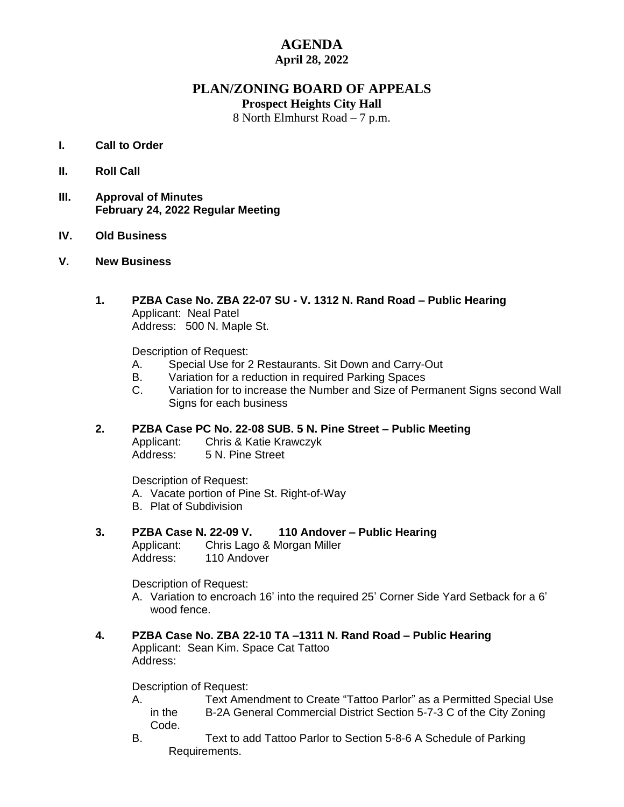## **AGENDA April 28, 2022**

## **PLAN/ZONING BOARD OF APPEALS**

**Prospect Heights City Hall**

8 North Elmhurst Road – 7 p.m.

## **I. Call to Order**

- **II. Roll Call**
- **III. Approval of Minutes February 24, 2022 Regular Meeting**
- **IV. Old Business**
- **V. New Business**
	- **1. PZBA Case No. ZBA 22-07 SU V. 1312 N. Rand Road – Public Hearing** Applicant: Neal Patel Address: 500 N. Maple St.

Description of Request:

- A. Special Use for 2 Restaurants. Sit Down and Carry-Out
- B. Variation for a reduction in required Parking Spaces
- C. Variation for to increase the Number and Size of Permanent Signs second Wall Signs for each business
- **2. PZBA Case PC No. 22-08 SUB. 5 N. Pine Street – Public Meeting** Applicant: Chris & Katie Krawczyk Address: 5 N. Pine Street

Description of Request: A. Vacate portion of Pine St. Right-of-Way B. Plat of Subdivision

**3. PZBA Case N. 22-09 V. 110 Andover – Public Hearing** Applicant: Chris Lago & Morgan Miller Address: 110 Andover

Description of Request:

- A. Variation to encroach 16' into the required 25' Corner Side Yard Setback for a 6' wood fence.
- **4. PZBA Case No. ZBA 22-10 TA –1311 N. Rand Road – Public Hearing** Applicant: Sean Kim. Space Cat Tattoo Address:

Description of Request:

- A. Text Amendment to Create "Tattoo Parlor" as a Permitted Special Use in the B-2A General Commercial District Section 5-7-3 C of the City Zoning Code.
- B. Text to add Tattoo Parlor to Section 5-8-6 A Schedule of Parking Requirements.